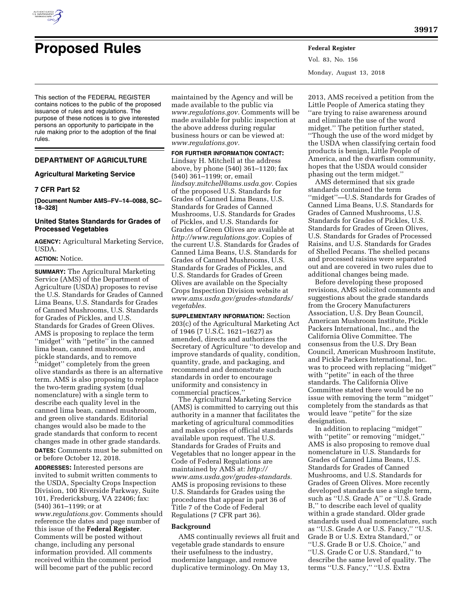

Vol. 83, No. 156 Monday, August 13, 2018

This section of the FEDERAL REGISTER contains notices to the public of the proposed issuance of rules and regulations. The purpose of these notices is to give interested persons an opportunity to participate in the rule making prior to the adoption of the final rules.

# **DEPARTMENT OF AGRICULTURE**

### **Agricultural Marketing Service**

# **7 CFR Part 52**

**[Document Number AMS–FV–14–0088, SC– 18–328]** 

# **United States Standards for Grades of Processed Vegetables**

**AGENCY:** Agricultural Marketing Service, USDA.

### **ACTION:** Notice.

**SUMMARY:** The Agricultural Marketing Service (AMS) of the Department of Agriculture (USDA) proposes to revise the U.S. Standards for Grades of Canned Lima Beans, U.S. Standards for Grades of Canned Mushrooms, U.S. Standards for Grades of Pickles, and U.S. Standards for Grades of Green Olives. AMS is proposing to replace the term "midget" with "petite" in the canned lima bean, canned mushroom, and pickle standards, and to remove ''midget'' completely from the green olive standards as there is an alternative term. AMS is also proposing to replace the two-term grading system (dual nomenclature) with a single term to describe each quality level in the canned lima bean, canned mushroom, and green olive standards. Editorial changes would also be made to the grade standards that conform to recent changes made in other grade standards.

**DATES:** Comments must be submitted on or before October 12, 2018.

**ADDRESSES:** Interested persons are invited to submit written comments to the USDA, Specialty Crops Inspection Division, 100 Riverside Parkway, Suite 101, Fredericksburg, VA 22406; fax: (540) 361–1199; or at *[www.regulations.gov.](http://www.regulations.gov)* Comments should reference the dates and page number of this issue of the **Federal Register**. Comments will be posted without change, including any personal information provided. All comments received within the comment period will become part of the public record

maintained by the Agency and will be made available to the public via *[www.regulations.gov.](http://www.regulations.gov)* Comments will be made available for public inspection at the above address during regular business hours or can be viewed at: *[www.regulations.gov.](http://www.regulations.gov)* 

**FOR FURTHER INFORMATION CONTACT:**  Lindsay H. Mitchell at the address above, by phone (540) 361–1120; fax (540) 361–1199; or, email *[lindsay.mitchell@ams.usda.gov.](mailto:lindsay.mitchell@ams.usda.gov)* Copies of the proposed U.S. Standards for Grades of Canned Lima Beans, U.S. Standards for Grades of Canned Mushrooms, U.S. Standards for Grades of Pickles, and U.S. Standards for Grades of Green Olives are available at *[http://www.regulations.gov.](http://www.regulations.gov)* Copies of the current U.S. Standards for Grades of Canned Lima Beans, U.S. Standards for Grades of Canned Mushrooms, U.S. Standards for Grades of Pickles, and U.S. Standards for Grades of Green Olives are available on the Specialty Crops Inspection Division website at *[www.ams.usda.gov/grades-standards/](http://www.ams.usda.gov/grades-standards/vegetables) [vegetables.](http://www.ams.usda.gov/grades-standards/vegetables)* 

**SUPPLEMENTARY INFORMATION:** Section 203(c) of the Agricultural Marketing Act of 1946 (7 U.S.C. 1621–1627) as amended, directs and authorizes the Secretary of Agriculture ''to develop and improve standards of quality, condition, quantity, grade, and packaging, and recommend and demonstrate such standards in order to encourage uniformity and consistency in commercial practices.''

The Agricultural Marketing Service (AMS) is committed to carrying out this authority in a manner that facilitates the marketing of agricultural commodities and makes copies of official standards available upon request. The U.S. Standards for Grades of Fruits and Vegetables that no longer appear in the Code of Federal Regulations are maintained by AMS at: *[http://](http://www.ams.usda.gov/grades-standards) [www.ams.usda.gov/grades-standards.](http://www.ams.usda.gov/grades-standards)*  AMS is proposing revisions to these U.S. Standards for Grades using the procedures that appear in part 36 of Title 7 of the Code of Federal Regulations (7 CFR part 36).

#### **Background**

AMS continually reviews all fruit and vegetable grade standards to ensure their usefulness to the industry, modernize language, and remove duplicative terminology. On May 13,

2013, AMS received a petition from the Little People of America stating they ''are trying to raise awareness around and eliminate the use of the word midget.'' The petition further stated, ''Though the use of the word midget by the USDA when classifying certain food products is benign, Little People of America, and the dwarfism community, hopes that the USDA would consider phasing out the term midget.''

AMS determined that six grade standards contained the term ''midget''—U.S. Standards for Grades of Canned Lima Beans, U.S. Standards for Grades of Canned Mushrooms, U.S. Standards for Grades of Pickles, U.S. Standards for Grades of Green Olives, U.S. Standards for Grades of Processed Raisins, and U.S. Standards for Grades of Shelled Pecans. The shelled pecans and processed raisins were separated out and are covered in two rules due to additional changes being made.

Before developing these proposed revisions, AMS solicited comments and suggestions about the grade standards from the Grocery Manufacturers Association, U.S. Dry Bean Council, American Mushroom Institute, Pickle Packers International, Inc., and the California Olive Committee. The consensus from the U.S. Dry Bean Council, American Mushroom Institute, and Pickle Packers International, Inc. was to proceed with replacing ''midget'' with ''petite'' in each of the three standards. The California Olive Committee stated there would be no issue with removing the term ''midget'' completely from the standards as that would leave ''petite'' for the size designation.

In addition to replacing ''midget'' with ''petite'' or removing ''midget,'' AMS is also proposing to remove dual nomenclature in U.S. Standards for Grades of Canned Lima Beans, U.S. Standards for Grades of Canned Mushrooms, and U.S. Standards for Grades of Green Olives. More recently developed standards use a single term, such as ''U.S. Grade A'' or ''U.S. Grade B,'' to describe each level of quality within a grade standard. Older grade standards used dual nomenclature, such as ''U.S. Grade A or U.S. Fancy,'' ''U.S. Grade B or U.S. Extra Standard,'' or ''U.S. Grade B or U.S. Choice,'' and ''U.S. Grade C or U.S. Standard,'' to describe the same level of quality. The terms ''U.S. Fancy,'' ''U.S. Extra